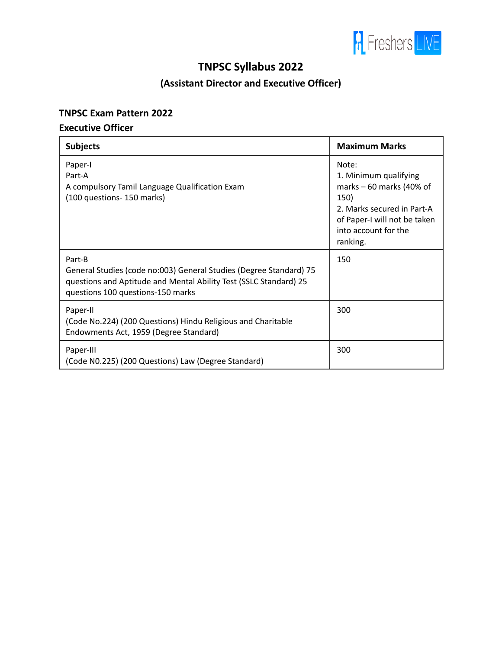

# **TNPSC Syllabus 2022**

# **(Assistant Director and Executive Officer)**

#### **TNPSC Exam Pattern 2022**

### **Executive Officer**

| <b>Subjects</b>                                                                                                                                                                        | <b>Maximum Marks</b>                                                                                                                                                  |
|----------------------------------------------------------------------------------------------------------------------------------------------------------------------------------------|-----------------------------------------------------------------------------------------------------------------------------------------------------------------------|
| Paper-I<br>Part-A<br>A compulsory Tamil Language Qualification Exam<br>(100 questions - 150 marks)                                                                                     | Note:<br>1. Minimum qualifying<br>marks $-60$ marks (40% of<br>150)<br>2. Marks secured in Part-A<br>of Paper-I will not be taken<br>into account for the<br>ranking. |
| Part-B<br>General Studies (code no:003) General Studies (Degree Standard) 75<br>questions and Aptitude and Mental Ability Test (SSLC Standard) 25<br>questions 100 questions-150 marks | 150                                                                                                                                                                   |
| Paper-II<br>(Code No.224) (200 Questions) Hindu Religious and Charitable<br>Endowments Act, 1959 (Degree Standard)                                                                     | 300                                                                                                                                                                   |
| Paper-III<br>(Code N0.225) (200 Questions) Law (Degree Standard)                                                                                                                       | 300                                                                                                                                                                   |